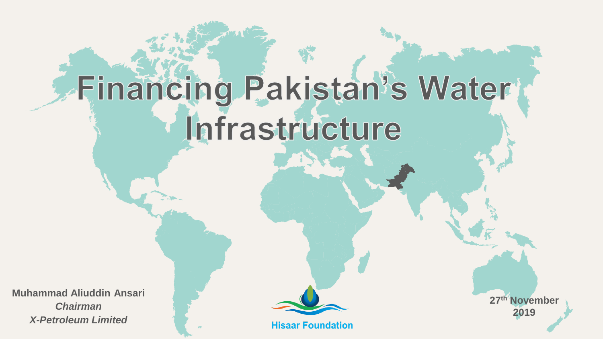# **Financing Pakistan's Water** Infrastructure

**Muhammad Aliuddin Ansari** *Chairman X-Petroleum Limited*

**Hisaar Foundation** 

**27th November 2019**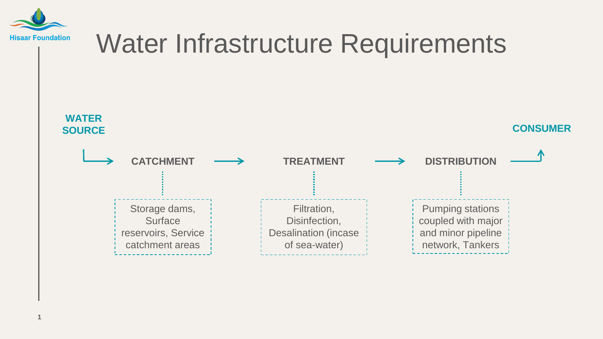

#### Water Infrastructure Requirements **CATCHMENT**  $\longrightarrow$  **TREATMENT**  $\longrightarrow$  **DISTRIBUTION** Storage dams, **Surface** reservoirs, Service catchment areas Filtration, Disinfection, Desalination (incase of sea-water) Pumping stations coupled with major and minor pipeline network, Tankers **CONSUMER WATER SOURCE**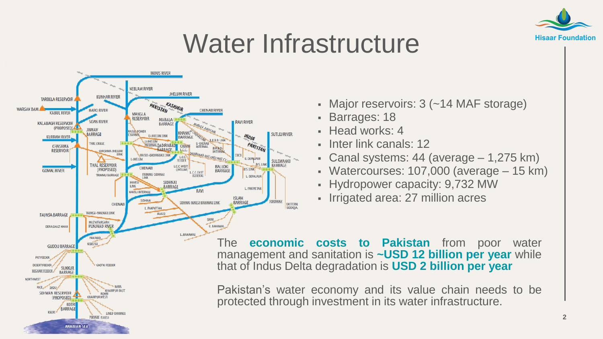

### Water Infrastructure



- Major reservoirs: 3 (~14 MAF storage)
- Barrages: 18
- Head works: 4
- **Inter link canals: 12**
- Canal systems:  $44$  (average  $-1,275$  km)
- Watercourses: 107,000 (average 15 km)
- Hydropower capacity: 9,732 MW
- Irrigated area: 27 million acres

The **economic costs to Pakistan** from poor water management and sanitation is **~USD 12 billion per year** while that of Indus Delta degradation is **USD 2 billion per year**

Pakistan's water economy and its value chain needs to be protected through investment in its water infrastructure.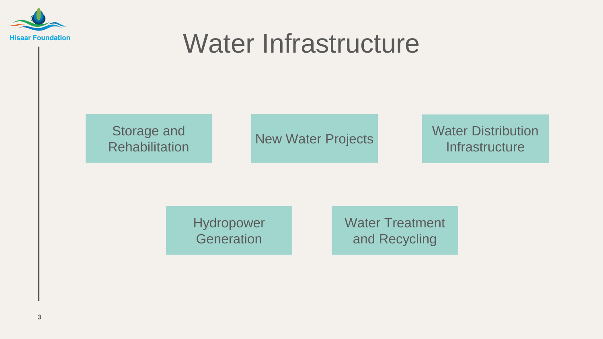

### Water Infrastructure



Water Distribution **Infrastructure** 

Hydropower **Generation** 

Water Treatment and Recycling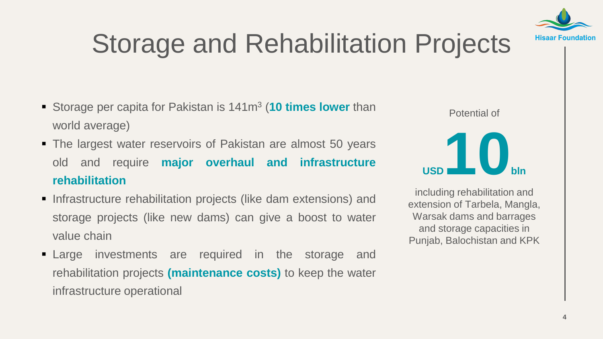

# Storage and Rehabilitation Projects

- **Storage per capita for Pakistan is 141m<sup>3</sup> (10 times lower than** world average)
- The largest water reservoirs of Pakistan are almost 50 years old and require **major overhaul and infrastructure rehabilitation**
- **Infrastructure rehabilitation projects (like dam extensions) and** storage projects (like new dams) can give a boost to water value chain
- **Example investments are required in the storage and** rehabilitation projects **(maintenance costs)** to keep the water infrastructure operational



including rehabilitation and extension of Tarbela, Mangla, Warsak dams and barrages and storage capacities in Punjab, Balochistan and KPK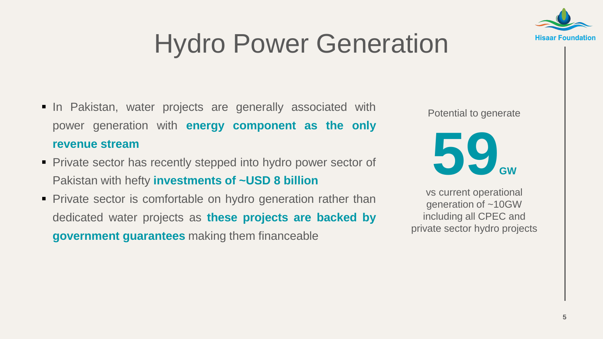

# Hydro Power Generation

- In Pakistan, water projects are generally associated with power generation with **energy component as the only revenue stream**
- Private sector has recently stepped into hydro power sector of Pakistan with hefty **investments of ~USD 8 billion**
- **Private sector is comfortable on hydro generation rather than** dedicated water projects as **these projects are backed by government guarantees** making them financeable

Potential to generate



vs current operational generation of ~10GW including all CPEC and private sector hydro projects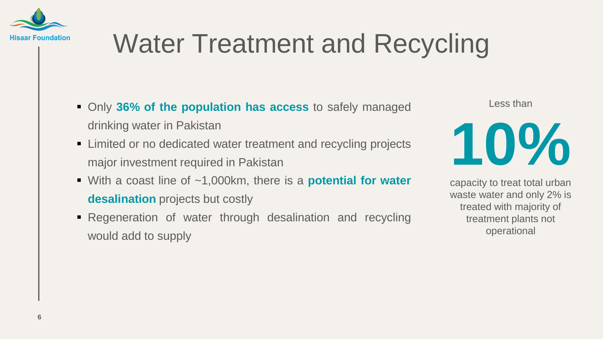

# Water Treatment and Recycling

- Only **36% of the population has access** to safely managed drinking water in Pakistan
- **EXTERN** Limited or no dedicated water treatment and recycling projects major investment required in Pakistan
- With a coast line of ~1,000km, there is a **potential for water desalination** projects but costly
- **Regeneration of water through desalination and recycling** would add to supply

Less than



capacity to treat total urban waste water and only 2% is treated with majority of treatment plants not operational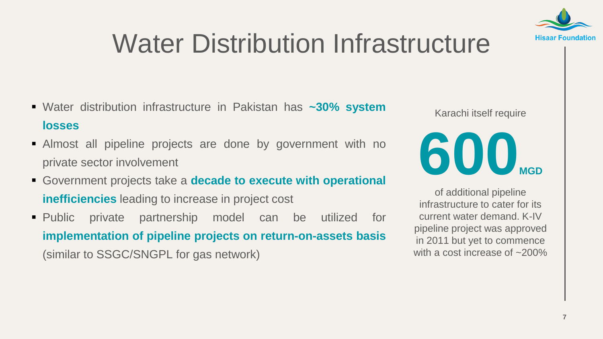

# Water Distribution Infrastructure

- Water distribution infrastructure in Pakistan has **~30% system losses**
- Almost all pipeline projects are done by government with no private sector involvement
- Government projects take a **decade to execute with operational inefficiencies** leading to increase in project cost
- Public private partnership model can be utilized for **implementation of pipeline projects on return-on-assets basis** (similar to SSGC/SNGPL for gas network)

Karachi itself require



of additional pipeline infrastructure to cater for its current water demand. K-IV pipeline project was approved in 2011 but yet to commence with a cost increase of ~200%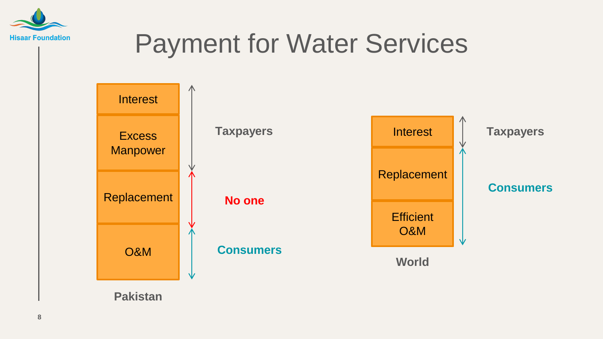

## Payment for Water Services



**Pakistan**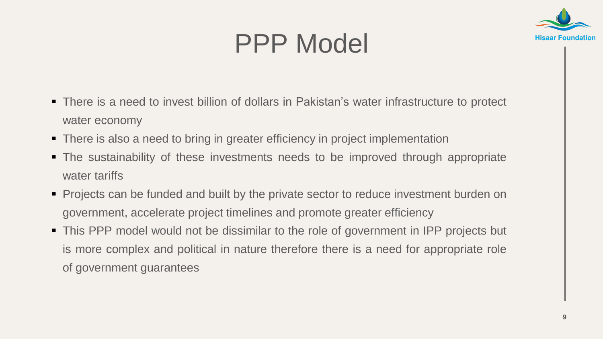# PPP Model



- There is a need to invest billion of dollars in Pakistan's water infrastructure to protect water economy
- There is also a need to bring in greater efficiency in project implementation
- The sustainability of these investments needs to be improved through appropriate water tariffs
- **Projects can be funded and built by the private sector to reduce investment burden on** government, accelerate project timelines and promote greater efficiency
- This PPP model would not be dissimilar to the role of government in IPP projects but is more complex and political in nature therefore there is a need for appropriate role of government guarantees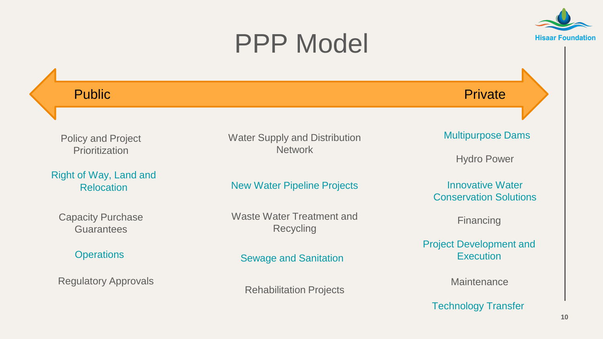#### PPP Model



**Hisaar Foundation**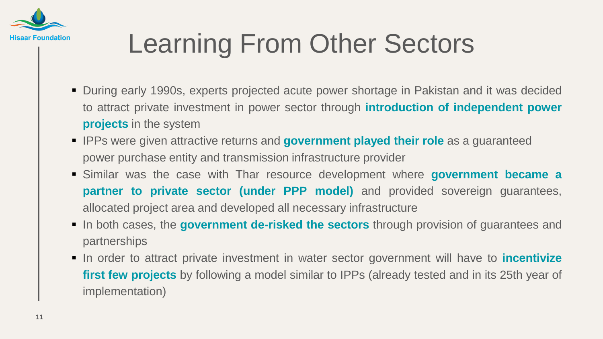

# Learning From Other Sectors

- During early 1990s, experts projected acute power shortage in Pakistan and it was decided to attract private investment in power sector through **introduction of independent power projects** in the system
- **IPPs were given attractive returns and government played their role** as a guaranteed power purchase entity and transmission infrastructure provider
- Similar was the case with Thar resource development where **government became a partner to private sector (under PPP model)** and provided sovereign guarantees, allocated project area and developed all necessary infrastructure
- In both cases, the **government de-risked the sectors** through provision of guarantees and partnerships
- In order to attract private investment in water sector government will have to **incentivize first few projects** by following a model similar to IPPs (already tested and in its 25th year of implementation)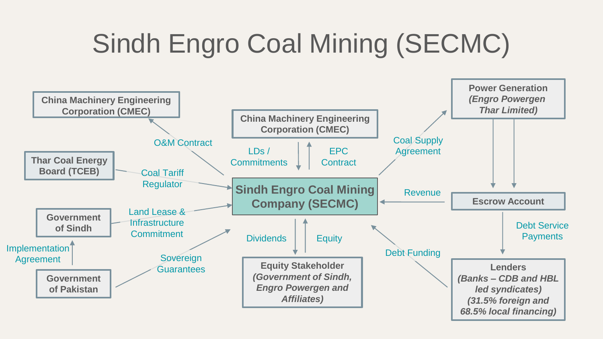# Sindh Engro Coal Mining (SECMC)

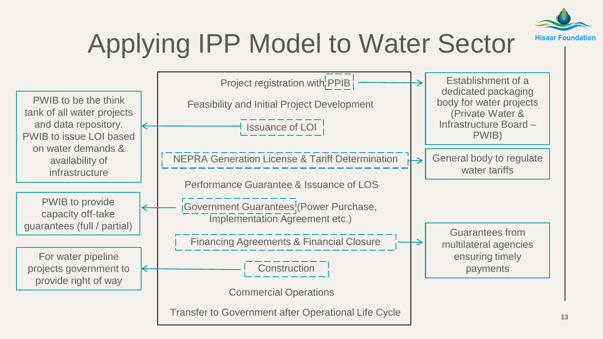

# Applying IPP Model to Water Sector

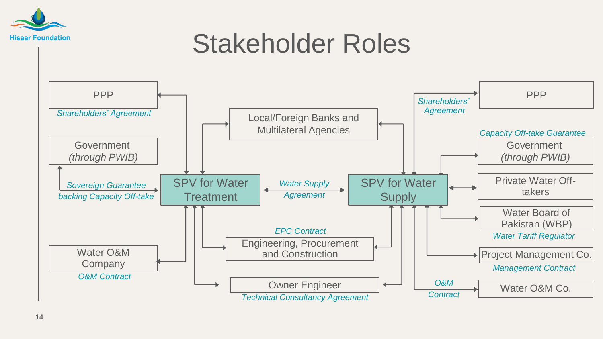

#### Stakeholder Roles

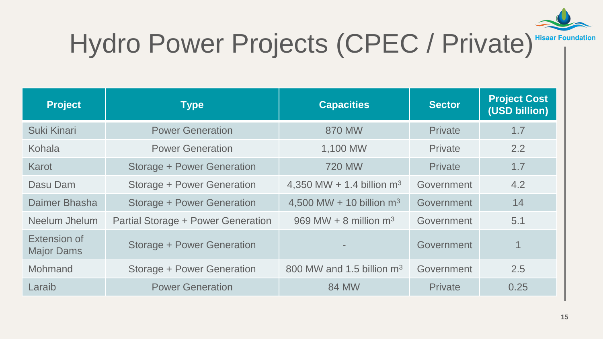

# Hydro Power Projects (CPEC / Private) Hisaar Foundation

| <b>Project</b>                    | <b>Type</b>                        | <b>Capacities</b>            | <b>Sector</b>  | <b>Project Cost</b><br>(USD billion) |
|-----------------------------------|------------------------------------|------------------------------|----------------|--------------------------------------|
| Suki Kinari                       | <b>Power Generation</b>            | 870 MW                       | <b>Private</b> | 1.7                                  |
| Kohala                            | <b>Power Generation</b>            | 1,100 MW                     | Private        | 2.2                                  |
| Karot                             | <b>Storage + Power Generation</b>  | <b>720 MW</b>                | <b>Private</b> | 1.7                                  |
| Dasu Dam                          | Storage + Power Generation         | 4,350 MW + 1.4 billion $m^3$ | Government     | 4.2                                  |
| Daimer Bhasha                     | <b>Storage + Power Generation</b>  | 4,500 MW + 10 billion $m^3$  | Government     | 14                                   |
| Neelum Jhelum                     | Partial Storage + Power Generation | 969 MW + 8 million $m3$      | Government     | 5.1                                  |
| Extension of<br><b>Major Dams</b> | <b>Storage + Power Generation</b>  |                              | Government     | $\overline{1}$                       |
| Mohmand                           | Storage + Power Generation         | 800 MW and 1.5 billion $m3$  | Government     | 2.5                                  |
| Laraib                            | <b>Power Generation</b>            | <b>84 MW</b>                 | Private        | 0.25                                 |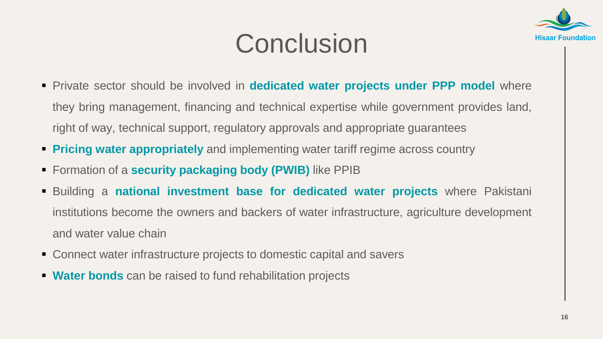

### **Conclusion**

- Private sector should be involved in **dedicated water projects under PPP model** where they bring management, financing and technical expertise while government provides land, right of way, technical support, regulatory approvals and appropriate guarantees
- **Pricing water appropriately** and implementing water tariff regime across country
- Formation of a **security packaging body (PWIB)** like PPIB
- Building a **national investment base for dedicated water projects** where Pakistani institutions become the owners and backers of water infrastructure, agriculture development and water value chain
- Connect water infrastructure projects to domestic capital and savers
- **Water bonds** can be raised to fund rehabilitation projects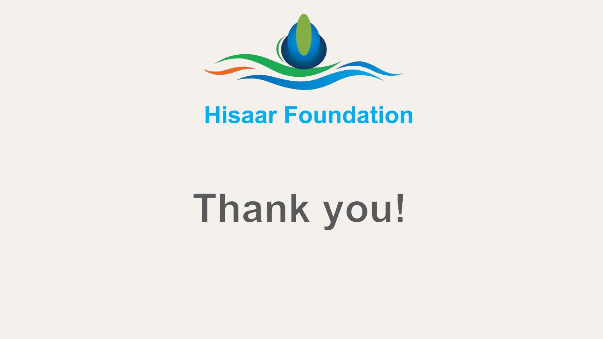

#### **Hisaar Foundation**

# Thank you!